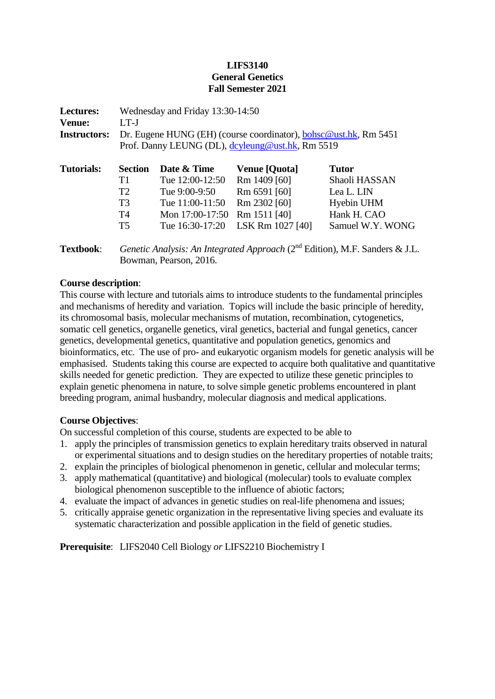## **LIFS3140 General Genetics Fall Semester 2021**

| <b>Lectures:</b>    | Wednesday and Friday 13:30-14:50                                         |                 |                      |                  |  |  |
|---------------------|--------------------------------------------------------------------------|-----------------|----------------------|------------------|--|--|
| <b>Venue:</b>       | $LT-J$                                                                   |                 |                      |                  |  |  |
| <b>Instructors:</b> | Dr. Eugene HUNG (EH) (course coordinator), <b>bohsc</b> @ust.hk, Rm 5451 |                 |                      |                  |  |  |
|                     | Prof. Danny LEUNG (DL), dcyleung@ust.hk, Rm 5519                         |                 |                      |                  |  |  |
| <b>Tutorials:</b>   | <b>Section</b>                                                           | Date & Time     | <b>Venue [Quota]</b> | <b>Tutor</b>     |  |  |
|                     | T1                                                                       | Tue 12:00-12:50 | Rm 1409 [60]         | Shaoli HASSAN    |  |  |
|                     | T2                                                                       | Tue 9:00-9:50   | Rm 6591 [60]         | Lea L. LIN       |  |  |
|                     | T <sub>3</sub>                                                           | Tue 11:00-11:50 | Rm 2302 [60]         | Hyebin UHM       |  |  |
|                     | T4                                                                       | Mon 17:00-17:50 | Rm 1511 [40]         | Hank H. CAO      |  |  |
|                     | T <sub>5</sub>                                                           | Tue 16:30-17:20 | LSK Rm 1027 [40]     | Samuel W.Y. WONG |  |  |
|                     |                                                                          |                 |                      |                  |  |  |

Textbook: *Genetic Analysis: An Integrated Approach* (2<sup>nd</sup> Edition), M.F. Sanders & J.L. Bowman, Pearson, 2016.

## **Course description**:

This course with lecture and tutorials aims to introduce students to the fundamental principles and mechanisms of heredity and variation. Topics will include the basic principle of heredity, its chromosomal basis, molecular mechanisms of mutation, recombination, cytogenetics, somatic cell genetics, organelle genetics, viral genetics, bacterial and fungal genetics, cancer genetics, developmental genetics, quantitative and population genetics, genomics and bioinformatics, etc. The use of pro- and eukaryotic organism models for genetic analysis will be emphasised. Students taking this course are expected to acquire both qualitative and quantitative skills needed for genetic prediction. They are expected to utilize these genetic principles to explain genetic phenomena in nature, to solve simple genetic problems encountered in plant breeding program, animal husbandry, molecular diagnosis and medical applications.

## **Course Objectives**:

On successful completion of this course, students are expected to be able to

- 1. apply the principles of transmission genetics to explain hereditary traits observed in natural or experimental situations and to design studies on the hereditary properties of notable traits;
- 2. explain the principles of biological phenomenon in genetic, cellular and molecular terms;
- 3. apply mathematical (quantitative) and biological (molecular) tools to evaluate complex biological phenomenon susceptible to the influence of abiotic factors;
- 4. evaluate the impact of advances in genetic studies on real-life phenomena and issues;
- 5. critically appraise genetic organization in the representative living species and evaluate its systematic characterization and possible application in the field of genetic studies.

**Prerequisite**: LIFS2040 Cell Biology *or* LIFS2210 Biochemistry I